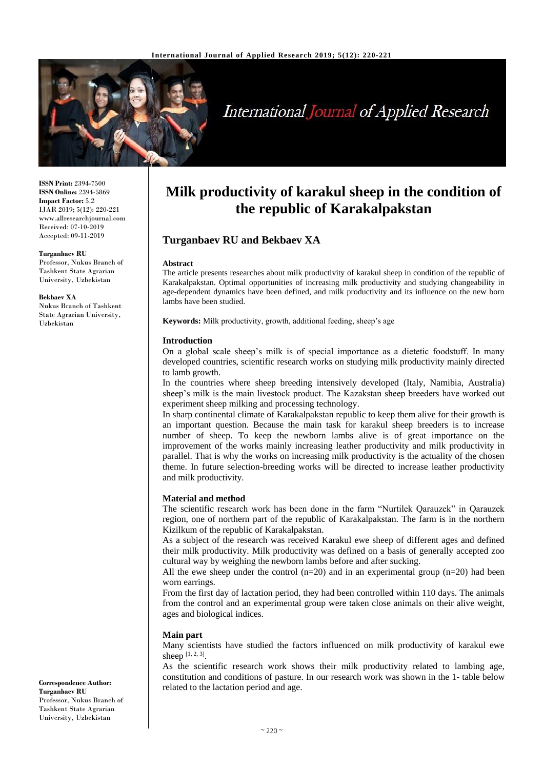

# **International Journal of Applied Research**

**ISSN Print:** 2394-7500 **ISSN Online:** 2394-5869 **Impact Factor:** 5.2 IJAR 2019; 5(12): 220-221 www.allresearchjournal.com Received: 07-10-2019 Accepted: 09-11-2019

**Turganbaev RU** Professor, Nukus Branch of Tashkent State Agrarian University, Uzbekistan

**Bekbaev XA** Nukus Branch of Tashkent State Agrarian University, Uzbekistan

## **Milk productivity of karakul sheep in the condition of the republic of Karakalpakstan**

### **Turganbaev RU and Bekbaev XA**

#### **Abstract**

The article presents researches about milk productivity of karakul sheep in condition of the republic of Karakalpakstan. Optimal opportunities of increasing milk productivity and studying changeability in age-dependent dynamics have been defined, and milk productivity and its influence on the new born lambs have been studied.

**Keywords:** Milk productivity, growth, additional feeding, sheep's age

#### **Introduction**

On a global scale sheep's milk is of special importance as a dietetic foodstuff. In many developed countries, scientific research works on studying milk productivity mainly directed to lamb growth.

In the countries where sheep breeding intensively developed (Italy, Namibia, Australia) sheep's milk is the main livestock product. The Kazakstan sheep breeders have worked out experiment sheep milking and processing technology.

In sharp continental climate of Karakalpakstan republic to keep them alive for their growth is an important question. Because the main task for karakul sheep breeders is to increase number of sheep. To keep the newborn lambs alive is of great importance on the improvement of the works mainly increasing leather productivity and milk productivity in parallel. That is why the works on increasing milk productivity is the actuality of the chosen theme. In future selection-breeding works will be directed to increase leather productivity and milk productivity.

#### **Material and method**

The scientific research work has been done in the farm "Nurtilek Qarauzek" in Qarauzek region, one of northern part of the republic of Karakalpakstan. The farm is in the northern Kizilkum of the republic of Karakalpakstan.

As a subject of the research was received Karakul ewe sheep of different ages and defined their milk productivity. Milk productivity was defined on a basis of generally accepted zoo cultural way by weighing the newborn lambs before and after sucking.

All the ewe sheep under the control  $(n=20)$  and in an experimental group  $(n=20)$  had been worn earrings.

From the first day of lactation period, they had been controlled within 110 days. The animals from the control and an experimental group were taken close animals on their alive weight, ages and biological indices.

#### **Main part**

Many scientists have studied the factors influenced on milk productivity of karakul ewe sheep  $[1, 2, 3]$ .

As the scientific research work shows their milk productivity related to lambing age, constitution and conditions of pasture. In our research work was shown in the 1- table below related to the lactation period and age.

**Correspondence Author: Turganbaev RU** Professor, Nukus Branch of Tashkent State Agrarian University, Uzbekistan